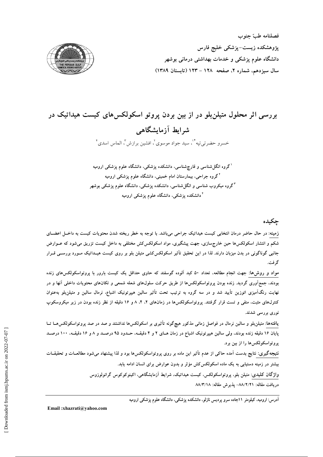

## بررسی اثر محلول متیلنبلو در از بین بردن پروتو اسکولکسهای کیست هیداتیک در شرابط آزمایشگاهی خسرو حضرتي تيه \*'، سيد جواد موسوى'، افشين برازش"، الماس اسدى \*

<sup>۱</sup>گروه انگلشناسی و قارچشناسی، دانشکده پزشکی، دانشگاه علوم پزشکی ارومیه <sup>۲</sup>گروه جراحی، بیمارستان امام خمینی، دانشگاه علوم پزشکی ارومیه <sup>۳</sup>گروه میکروب شناسی و انگلشناسی، دانشکده پزشکی، دانشگاه علوم پزشکی بوشهر <sup>۶</sup> دانشکده پزشکی، دانشگاه علوم پزشکی ارومیه

چکیده

زمینه: در حال حاضر درمان انتخابی کیست هیداتیک جراحی میباشد. با توجه به خطر ریخته شدن محتویات کیست به داخـل اعضــای شکم و انتشار اسکولکس۵ا حین خارج٬ازی، جهت پیشگیری، مواد اسکولکسکش مختلفی به داخل کیست تزریق میشود که عــوارض جانبی گوناگونی در بدن میزبان دارند. لذا در این تحقیق تأثیر اسکولکس کشی متیلن بلو بر روی کیست هیــداتیک مــورد بررســی قــرار گر فت.

مواد و روش۵ا: جهت انجام مطالعه، تعداد ۵۰ کبد اَلوده گوسفند که حاوی حداقل یک کیست بارور با پروتواسکولکسهای زنده بودند، جمعآوری گردید. زنده بودن پروتواسکولکسها از طریق حرکت سلولهای شعله شمعی و تکانهای محتویات داخلی آنها و در نهایت رنگآمیزی ائوزین تأیید شد و در سه گروه به ترتیب تحت تأثیر سالین هیپرتونیک اشباع، نرمال سالین و متیلنبلو بهعنوان کنترلهای مثبت، منفی و تست قرار گرفتند. پروتواسکولکسها در زمانهای ۲، ۴، ۸ و ۱۶ دقیقه از نظر زنده بودن در زیر میکروسکوپ نوری بررسی شدند.

یافتهها: متیلن بلو و سالین نرمال در فواصل زمانی مذکور هیچگونه تأثیری بر اسکولکسها نداشتند و صد در صد پروتواسکولکس هــا تــا پایان ۱۶ دقیقه زنده بودند، ولی سالین هیپرتونیک اشباع در زمان هـای ۲ و ۴ دقیقــه، حــدود ۹۵ درصــد و ۸ و ۱۶ دقیقــه، ۱۰۰ درصــد يروتواسكولكس ها را از بين برد.

نتیجهگیری: نتایج بدست آمده حاکی از عدم تأثیر این ماده بر روی پروتواسکولکسها بود و لذا پیشنهاد میشود مطالعــات و تحقیقــات بیشتر در زمینه دستیابی به یک ماده اسکولکس کش مؤثر و بدون عوارض برای انسان ادامه یابد.

> واژگان کلیدی: متیلن بلو، پروتواسکولکس، کیست هیداتیک، شرایط آزمایشگاهی، اکینوکوکوس گرانولوزوس دريافت مقاله: ٨٨/٢/٢١- يذيرش مقاله: ٨٨/٣/١٨

> > آدرس: ارومیه، کیلومتر ۱۱جاده سرو پردیس نازلو، دانشکده پزشکی، دانشگاه علوم پزشکی ارومیه

Email:xhazrati@yahoo.com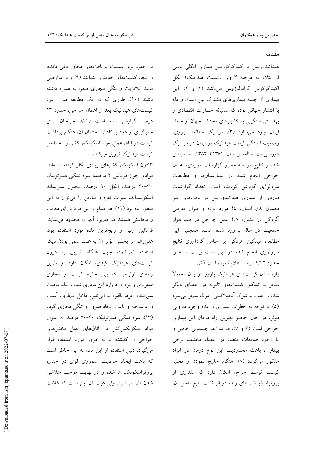در حفره پری سیست یا بافتهای مجاور باقی مانده، و ایجاد کیستهای جدید را بنمایند (۹) و یا عوارضی مانند کلانژیت و تنگی مجاری صفرا به همراه داشته باشند (۱۰)، طوری که در یک مطالعه میزان عود کیستهای هیداتیک بعد از اعمال جراحی، حدود ۱۳ درصد گزارش شده است (١١). جراحان برای جلوگیری از عود یا کاهش احتمال آن، هنگام برداشت کیست در اتاق عمل، مواد اسکولکس کشی را به داخل کیست هیداتیک تزریق میکنند.

تاکنون اسکولکس کشهای زیادی بکار گرفته شدهاند. موادی چون فرمالین ۲ درصد، سرم نمکی هیپرتونیک ٣٠-٢٠ درصد، الكل ٩۶ درصد، محلول ستريمايد اسکولیساید، نیترات نقره و بتادین را می توان به این منظور نام برد (١٢). هر كدام از اين مواد داراي معايب و محاسنی هستند که کاربرد آنها را محدود می نماید. فرمالین اولین و رایجترین ماده مورد استفاده بود. علىرغم اثر بخشى مؤثر أن به علت سمى بودن ديگر استفاده نمیشود، چون هنگام تزریق به درون کیستهای هیداتیک کبدی، امکان دارد از طریق راههای ارتباطی که بین حفره کیست و مجاری صفراوی وجود دارد وارد این مجاری شده و بنابه ماهیت سوزاننده خود، بالقوه به اپیتلیوم داخل مجاری، آسیب وارد ساخته و باعث ایجاد فیبروز و تنگی مجاری گردد (١٣). سرم نمکی هیپرتونیک ٣٠-٢٠ درصد به عنوان مواد اسکولکس کش در اتاقهای عمل بخشهای جراحی از گذشته تا به امروز مورد استفاده قرار می گیرد. دلیل استفاده از این ماده به این خاطر است که باعث ایجاد خاصیت اسموزی قوی در جداره پروتواسکولکسها شده و در نهایت موجب متلاشی شدن آنها می شود. ولی عیب آن این است که غلظت

مقدمه

هیداتیدوزیس یا اکینوکوکوزیس بیماری انگلی ناشی از ابتلاء به مرحله لاروی (کیست هیداتیک) انگل اکینوکوکوس گرانولوزوس میباشد (۱ و ۲). این بیماری از جمله بیماریهای مشترک بین انسان و دام با انتشار جهانی بوده که سالیانه خسارات اقتصادی و بهداشتی سنگینی به کشورهای مختلف جهان از جمله ایران وارد میسازد (۳). در یک مطالعه مروری، وضعیت آلودگی کیست هیداتیک در ایران در طی یک دوره بیست ساله، از سال ۱۳۶۴تا ۱۳۸۴، جمعبندی شده و نتایج در سه محور گزارشات موردی، اعمال جراحی انجام شده در بیمارستانها و مطالعات سرولوژی گزارش گردیده است. تعداد گزارشات موردی از بیماری هیداتیدوزیس در بافتهای غیر معمول بدن انسان، ۴۵ مورد بوده و میزان تقریبی آلودگی در کشور، ۴/۸ عمل جراحی در صد هزار جمعیت در سال برآورد شده است. همچنین این مطالعه، میانگین آلودگی بر اساس گردآوری نتایج سرولوژی انجام شده در این مدت بیست ساله را حدود ۴/۴۲ درصد اعلام نموده است (۴).

پاره شدن کیستهای هیداتیک بارور در بدن معمولاً منجر به تشکیل کیستهای ثانویه در اعضای دیگر شده و اغلب به شوک آنافیلاکسی ومرگ منجر میشود (۵). با توجه به خطرات بیماری و عدم وجود دارویی موثر، در حال حاضر بهترین راه درمان این بیماری جراحی است (۶ و ۷)، اما شرایط جسمانی خاص و یا وجود ضایعات متعدد در اعضاء مختلف برخی بیماران، باعث محدودیت این نوع درمان در افراد مذکور میگردد (۸). هنگام خارج نمودن و تخلیه کیست توسط جراح، امکان دارد که مقداری از پروتواسکولکسهای زنده در اثر نشت مایع داخل آن،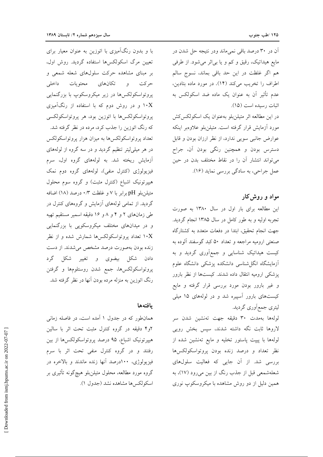آن در ۳۰ درصد باقی نمی.ماند ودر نتیجه حل شدن در مایع هیداتیک، رقیق و کم و یا بی اثر می شود. از طرفی هم اگر غلظت در این حد باقی بماند، نسوج سالم اطراف را تخریب می کند (١۴). در مورد ماده بتادین، عدم تأثیر آن به عنوان یک ماده ضد اسکولکس به اثبات رسيده است (١٥). در این مطالعه اثر متیلنبلو بهعنوان یک اسکولکسکش مورد آزمایش قرار گرفته است. متیلن بلو علاوهبر اینکه

عوارض جانبی سویی ندارد، از نظر ارزان بودن و قابل دسترس بودن و همچنین رنگی بودن آن، جراح می تواند انتشار آن را در نقاط مختلف بدن در حین عمل جراحي، به سادگي بررسي نمايد (١۶).

## مواد و روش کار

این مطالعه برای بار اول در سال ۱۳۸۰ به صورت تجربه اولیه و به طور کامل در سال ۱۳۸۵ انجام گردید. جهت انجام تحقیق، ابتدا در دفعات متعدد به کشتارگاه صنعتی ارومیه مراجعه و تعداد ۵۰ کبد گوسفند آلوده به کیست هیداتیک شناسایی و جمعآوری گردید و به أزمايشگاه انگلشناسی دانشكده پزشكی دانشگاه علوم پزشکی ارومیه انتقال داده شدند. کیستها از نظر بارور و غیر بارور بودن مورد بررسی قرار گرفته و مایع کیستهای بارور آسییره شد و در لولههای ۱۵ میلی لیتری جمع|َوری گردید.

لولهها بهمدت ٣٠ دقيقه جهت تهنشين شدن سر لاروها ثابت نگه داشته شدند، سپس بخش رویی لولهها با پیپت پاستور تخلیه و مایع تهنشین شده از نظر تعداد و درصد زنده بودن پروتواسکولکسها بررسی شد. از آن جایی که فعالیت سلولهای شعلهشمعی قبل از جذب رنگ از بین میرود (۱۷)، به همین دلیل از دو روش مشاهده با میکروسکوپ نوری

با و بدون رنگآمیزی با ائوزین به عنوان معیار برای تعیین مرگ اسکولکسها استفاده گردید. روش اول، بر مبنای مشاهده حرکت سلولهای شعله شمعی و حركت و تكانهاي محتويات داخلي پروتواسکولکسها در زیر میکروسکوپ با بزرگنمایی ا و در روش دوم که با استفاده از رنگآمیزی  $\rm X$ پروتواسكولكسها با ائوزين بود، هر پروتواسكولكسي که رنگ ائوزین را جذب کرد، مرده در نظر گرفته شد. تعداد پروتواسکولکسها به میزان هزار پروتواسکولکس در هر میلیلیتر تنظیم گردید و در سه گروه از لولههای آزمایش ریخته شد. به لولههای گروه اول، سرم فیزیولوژی (کنترل منفی)، لولههای گروه دوم نمک هیپرتونیک اشباع (کنترل مثبت) و گروه سوم محلول متيلن بلو pH برابر با ۷ و غلظت ۰/۳ درصد (۱۸) اضافه گردید. از تمامی لولههای آزمایش و گروههای کنترل در طی زمانهای ۲ و ۴ و ۸ و ۱۶ دقیقه اسمیر مستقیم تهیه و در میدانهای مختلف میکروسکویی با بزرگنمایی ا تعداد پروتواسکولکسها شمارش شده و از نظر  $\cdot {\rm X}$ زنده بودن بهصورت درصد مشخص می شدند. از دست دادن شکل بیضوی و تغییر شکل گرد پروتواسکولکسها، جمع شدن روستلومها و گرفتن رنگ ائوزین به منزله مرده بودن آنها در نظر گرفته شد.

## بافتهها

همانطور که در جدول ۱ آمده است، در فاصله زمانی ۲و۴ دقیقه در گروه کنترل مثبت تحت اثر با سالین هیپرتونیک اشباع، ۹۵ درصد پروتواسکولکسها از بین رفتند و در گروه کنترل منفی تحت اثر با سرم فیزیولوژی، ۱۰۰درصد آنها زنده ماندند و بالاخره در گروه مورد مطالعه، محلول متیلنبلو هیچگونه تأثیری بر اسكولكس ها مشاهده نشد (جدول ١).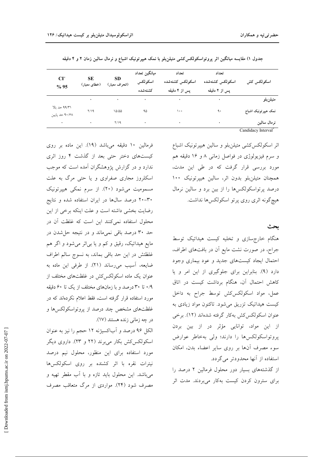| CI <sup>×</sup><br>%95          | <b>SE</b><br>(خطای معیار) | <b>SD</b><br>(انحراف معیار) | ميانگين تعداد<br>اسكولكس<br>كشتهشده | تعداد<br>اسكولكس كشتهشده<br>یس از ۴ دقیقه | تعداد<br>اسكولكس كشتهشده<br>پس از ۲ دقیقه | اسكولكس كش                      |
|---------------------------------|---------------------------|-----------------------------|-------------------------------------|-------------------------------------------|-------------------------------------------|---------------------------------|
|                                 |                           | $\sim 100$ km s $^{-1}$     | $\sim$                              | $\bullet$                                 |                                           | متيلن بلو                       |
| ۹۹/۳۱ حد بالا<br>۹۰/۶۸ حد پایین | Y/19                      | 10/00                       | ۹۵                                  | ۱۰۰                                       | ٩.                                        | نمک هیپرتونیک اشباع             |
| ٠                               | $\bullet$                 | Y/19                        | ٠                                   | ٠                                         | ٠                                         | نرمال سالين                     |
|                                 |                           |                             |                                     |                                           |                                           | Candidacy Interval <sup>®</sup> |

جدول ۱) مقایسه میانگین اثر پروتواسکولکس کشی متیلن بلو با نمک هیپرتونیک اشباع و نرمال سالین زمان ۲ و ۴ دقیقه

فرمالین ١٠ دقیقه میباشد (١٩). این ماده بر روی کیستهای دختر حتی بعد از گذشت ۴ روز اثری ندارد و در گزارش پژوهشگران آمده است که موجب اسکلروز مجاری صفراوی و یا حتی مرگ به علت مسمومیت می شود (۲۰). از سرم نمکی هیپرتونیک ۳۰–۲۰ درصد سالها در ایران استفاده شده و نتایج رضایت بخشی داشته است و علت اینکه برخی از این محلول استفاده نمی کنند این است که غلظت آن در حد ۳۰ درصد باقی نمی.ماند و در نتیجه حل شدن در مايع هيداتيک، رقيق و کم و يا بي اثر مي شود و اگر هم غلظتش در این حد باقی بماند، به نسوج سالم اطراف ضایعه، آسیب میرساند (۲۱). از طرفی این ماده به عنوان یک ماده اسکولکس کش در غلظتهای مختلف از ۰/۹ تا ۳۰ درصد و با زمانهای مختلف از یک تا ۶۰ دقیقه مورد استفاده قرار گرفته است، فقط اعلام نکردهاند که در غلظتهای مشخص چند درصد از پروتواسکولکسها و در چه زمانی زنده هستند (۱۷).

الکل ۹۶ درصد و أباکسیژنه ۱۲ حجم را نیز به عنوان اسکولکس کش بکار می برند (۲۲ و ۲۳). داروی دیگر مورد استفاده برای این منظور، محلول نیم درصد نیترات نقره با اثر کشنده بر روی اسکولکسها می باشد. این محلول باید تازه و با آب مقطر تهیه و مصرف شود (۲۴). مواردی از مرگ متعاقب مصرف اثر اسکولکس کشی متیلنبلو و سالین هیپرتونیک اشباع و سرم فیزیولوژی در فواصل زمانی ۸ و ۱۶ دقیقه هم مورد بررسی قرار گرفت که در طی این مدت، همچنان متیلنبلو بدون اثر، سالین هیپرتونیک ۱۰۰ درصد پرتواسکولکسها را از بین برد و سالین نرمال هيچگونه اثري روي پرتو اسكولكسها نداشت.

ىحث

هنگام خارجسازی و تخلیه کیست هیداتیک توسط جراح، در صورت نشت مایع آن در بافتهای اطراف، احتمال ایجاد کیستهای جدید و عود بیماری وجود دارد (۹). بنابراین برای جلوگیری از این امر و یا كاهش احتمال آن، هنگام برداشت كيست در اتاق عمل، مواد اسکولکسکش توسط جراح به داخل کیست هیداتیک تزریق میشود. تاکنون مواد زیادی به عنوان اسکولکسکش بهکار گرفته شدهاند (۱۲). برخی از این مواد، توانایی مؤثر در از بین بردن پروتواسکولکس ها را دارند؛ ولی بهخاطر عوارض سوء مصرف آنها بر روى ساير اعضاء بدن، امكان استفاده از آنها محدودتر می گردد.

از گذشتههای بسیار دور محلول فرمالین ۲ درصد را برای سترون کردن کیست بهکار میبردند. مدت اثر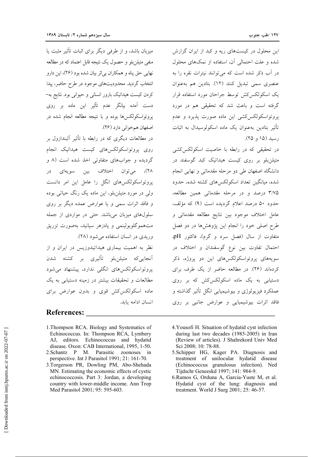این محلول در کیستهای ریه و کبد از ایران گزارش شده و علت احتمالی آن، استفاده از نمکهای محلول در آب ذکر شده است که می توانند نیترات نقره را به عنصري سمي تبديل كنند (١٢). بتادين هم به عنوان یک اسکولکس کش توسط جراحان مورد استفاده قرار گرفته است و باعث شد که تحقیقی هم در مورد یروتواسکولکس کشی این ماده صورت پذیرد و عدم تأثير بتادين بهعنوان يک ماده اسکولوسيدال به اثبات رسيد (١۵ و ٢۵).

در تحقیقی که در رابطه با خاصیت اسکولکس کشی متیلن بلو بر روی کیست هیداتیک کبد گوسفند در دانشگاه اصفهان طی دو مرحله مقدماتی و نهایی انجام شده، میانگین تعداد اسکولکسهای کشته شده، حدود ۳/۷۵ درصد و در مرحله مقدماتی همین مطالعه، حدود ۵۰ درصد اعلام گردیده است (۹) که مؤلف، عامل اختلاف موجود بين نتايج مطالعه مقدماتي و طرح اصلی خود را انجام این پژوهشها در دو فصل متفاوت از سال (فصل سرد و گرم)، فاکتور pH، احتمال تفاوت بین نوع گوسفندان و اختلاف در سویههای پروتواسکولکسهای این دو پروژه، ذکر کردهاند (۲۶). در مطالعه حاضر از یک طرف برای دستیابی به یک ماده اسکولکسکش که بر روی عملکرد فیزیولوژی و بیوشیمیایی انگل تأثیر گذاشته و فاقد اثرات بیوشیمیایی و عوارض جانبی بر روی

میزبان باشد، و از طرفی دیگر برای اثبات تأثیر مثبت یا منفی متیلن بلو و حصول یک نتیجه قابل اعتماد که در مطالعه نهايي حق پناه و همكاران بي اثر بيان شده بود (٢۶)، اين دارو انتخاب گردید. محدودیتهای موجود در طرح حاضر، پیدا کردن کیست هیداتیک بارور انسانی و حیوانی بود. نتایج به-دست آمده بیانگر عدم تأثیر این ماده بر روی یروتواسکولکس ها بوده و با نتیجه مطالعه انجام شده در اصفهان هم خوانی دارد (۲۶).

در مطالعات دیگری که در رابطه با تأثیر آلبندازول بر روی پروتواسکولکسهای کیست هیداتیک انجام گردیده و جوابهای متفاوتی اخذ شده است (۸ و ٢٨)، مي-توان اختلاف بين سويهاي در یروتواسکولکس های انگل را عامل این امر دانست ولي در مورد متيلن بلو، اين ماده يک رنگ حياتي بوده و فاقد اثرات سمی و یا عوارض عمده دیگر بر روی سلولهای میزبان میباشد. حتی در مواردی از جمله متهموگلوبولینمی و پادزهر سیانید، بهصورت تزریق وریدی در انسان استفاده می شود (۲۸).

نظر به اهمیت بیماری هیداتیدوزیس در ایران و از آنجاییکه متیلن<sub>ن</sub>بلو تأثیری بر کشته شدن یروتواسکولکس های انگلی ندارد، پیشنهاد می شود مطالعات و تحقیقات بیشتر در زمینه دستیابی به یک ماده اسکولکس کش قوی و بدون عوارض برای انسان ادامه بايد.

## **References:**

- 1. Thompson RCA. Biology and Systematics of Echinococcus. In: Thompson RCA, Lymbery AJ, editors. Echinococcus and hydatid disease. Oxon: CAB International, 1995, 1-50.
- 2. Schantz P M. Parasitic zoonoses in perspective. Int J Parasitol 1991; 21: 161-70.
- 3.Torgerson PR, Dowling PM, Abo-Shehada MN. Estimating the economic effects of cystic echinococcosis. Part 3: Jordan, a developing country with lower-middle income. Ann Trop Med Parasitol 2001: 95: 595-603.
- 4. Yousofi H. Situation of hydatid cyst infection during last two decades (1985-2005) in Iran (Review of articles). J Shahrekord Univ Med Sci 2008; 10: 78-88.
- 5. Schipper HG, Kager PA. Diagnosis and treatment of unilocular hydatid disease (Echinococcus granulosus infection). Ned Tijdschr Geneeskd 1997; 141: 984-9.
- 6. Ramos G, Orduna A, Garcia-Yuste M, et al. Hydatid cyst of the lung: diagnosis and treatment. World J Surg 2001: 25: 46-57.